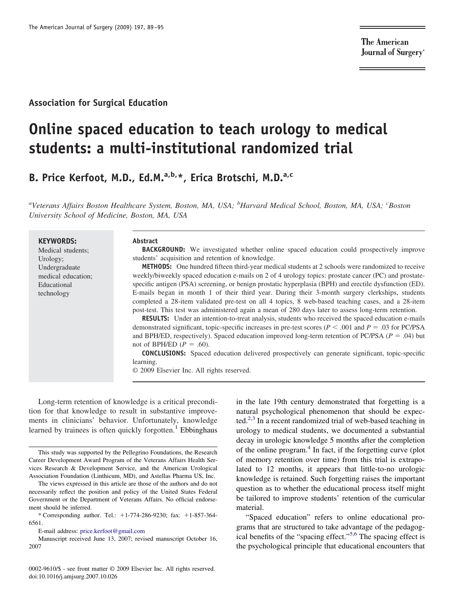**The American** Journal of Surgery®

# **Association for Surgical Education**

# **Online spaced education to teach urology to medical students: a multi-institutional randomized trial**

**B. Price Kerfoot, M.D., Ed.M.a,b,\*, Erica Brotschi, M.D.a,c**

*a Veterans Affairs Boston Healthcare System, Boston, MA, USA; <sup>b</sup> Harvard Medical School, Boston, MA, USA; <sup>c</sup> Boston University School of Medicine, Boston, MA, USA*

#### **KEYWORDS:**

Medical students; Urology; Undergraduate medical education; Educational technology

#### **Abstract**

**BACKGROUND:** We investigated whether online spaced education could prospectively improve students' acquisition and retention of knowledge.

**METHODS:** One hundred fifteen third-year medical students at 2 schools were randomized to receive weekly/biweekly spaced education e-mails on 2 of 4 urology topics: prostate cancer (PC) and prostatespecific antigen (PSA) screening, or benign prostatic hyperplasia (BPH) and erectile dysfunction (ED). E-mails began in month 1 of their third year. During their 3-month surgery clerkships, students completed a 28-item validated pre-test on all 4 topics, 8 web-based teaching cases, and a 28-item post-test. This test was administered again a mean of 280 days later to assess long-term retention.

**RESULTS:** Under an intention-to-treat analysis, students who received the spaced education e-mails demonstrated significant, topic-specific increases in pre-test scores ( $P < .001$  and  $P = .03$  for PC/PSA and BPH/ED, respectively). Spaced education improved long-term retention of PC/PSA ( $P = .04$ ) but not of BPH/ED  $(P = .60)$ .

**CONCLUSIONS:** Spaced education delivered prospectively can generate significant, topic-specific learning.

© 2009 Elsevier Inc. All rights reserved.

Long-term retention of knowledge is a critical precondition for that knowledge to result in substantive improvements in clinicians' behavior. Unfortunately, knowledge learned by trainees is often quickly forgotten.<sup>[1](#page-5-0)</sup> Ebbinghaus

0002-9610/\$ - see front matter © 2009 Elsevier Inc. All rights reserved. doi:10.1016/j.amjsurg.2007.10.026

in the late 19th century demonstrated that forgetting is a natural psychological phenomenon that should be expec-ted.<sup>[2,3](#page-5-0)</sup> In a recent randomized trial of web-based teaching in urology to medical students, we documented a substantial decay in urologic knowledge 5 months after the completion of the online program.[4](#page-5-0) In fact, if the forgetting curve (plot of memory retention over time) from this trial is extrapolated to 12 months, it appears that little-to-no urologic knowledge is retained. Such forgetting raises the important question as to whether the educational process itself might be tailored to improve students' retention of the curricular material.

"Spaced education" refers to online educational programs that are structured to take advantage of the pedagogical benefits of the "spacing effect."[5,6](#page-5-0) The spacing effect is the psychological principle that educational encounters that

This study was supported by the Pellegrino Foundations, the Research Career Development Award Program of the Veterans Affairs Health Services Research & Development Service, and the American Urological Association Foundation (Linthicum, MD), and Astellas Pharma US, Inc.

The views expressed in this article are those of the authors and do not necessarily reflect the position and policy of the United States Federal Government or the Department of Veterans Affairs. No official endorsement should be inferred.

<sup>\*</sup> Corresponding author. Tel.: 1-774-286-9230; fax: 1-857-364- 6561.

E-mail address: [price.kerfoot@gmail.com](mailto:price.kerfoot@gmail.com)

Manuscript received June 13, 2007; revised manuscript October 16, 2007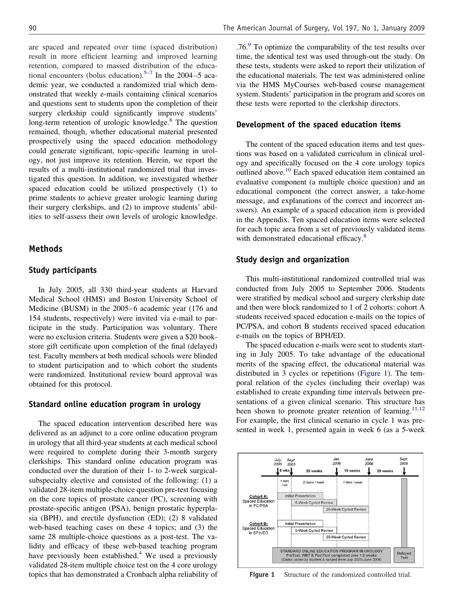are spaced and repeated over time (spaced distribution) result in more efficient learning and improved learning retention, compared to massed distribution of the educational encounters (bolus education).<sup>5–7</sup> In the 2004–5 academic year, we conducted a randomized trial which demonstrated that weekly e-mails containing clinical scenarios and questions sent to students upon the completion of their surgery clerkship could significantly improve students' long-term retention of urologic knowledge.<sup>8</sup> The question remained, though, whether educational material presented prospectively using the spaced education methodology could generate significant, topic-specific learning in urology, not just improve its retention. Herein, we report the results of a multi-institutional randomized trial that investigated this question. In addition, we investigated whether spaced education could be utilized prospectively (1) to prime students to achieve greater urologic learning during their surgery clerkships, and (2) to improve students' abilities to self-assess their own levels of urologic knowledge.

## **Methods**

#### **Study participants**

In July 2005, all 330 third-year students at Harvard Medical School (HMS) and Boston University School of Medicine (BUSM) in the 2005–6 academic year (176 and 154 students, respectively) were invited via e-mail to participate in the study. Participation was voluntary. There were no exclusion criteria. Students were given a \$20 bookstore gift certificate upon completion of the final (delayed) test. Faculty members at both medical schools were blinded to student participation and to which cohort the students were randomized. Institutional review board approval was obtained for this protocol.

#### **Standard online education program in urology**

The spaced education intervention described here was delivered as an adjunct to a core online education program in urology that all third-year students at each medical school were required to complete during their 3-month surgery clerkships. This standard online education program was conducted over the duration of their 1- to 2-week surgicalsubspecialty elective and consisted of the following: (1) a validated 28-item multiple-choice question pre-test focusing on the core topics of prostate cancer (PC), screening with prostate-specific antigen (PSA), benign prostatic hyperplasia (BPH), and erectile dysfunction (ED); (2) 8 validated web-based teaching cases on these 4 topics; and (3) the same 28 multiple-choice questions as a post-test. The validity and efficacy of these web-based teaching program have previously been established.<sup>[4](#page-5-0)</sup> We used a previously validated 28-item multiple choice test on the 4 core urology topics that has demonstrated a Cronbach alpha reliability of  $.76<sup>9</sup>$  To optimize the comparability of the test results over time, the identical test was used through-out the study. On these tests, students were asked to report their utilization of the educational materials. The test was administered online via the HMS MyCourses web-based course management system. Students' participation in the program and scores on these tests were reported to the clerkship directors.

## **Development of the spaced education items**

The content of the spaced education items and test questions was based on a validated curriculum in clinical urology and specifically focused on the 4 core urology topics outlined above.<sup>10</sup> Each spaced education item contained an evaluative component (a multiple choice question) and an educational component (the correct answer, a take-home message, and explanations of the correct and incorrect answers). An example of a spaced education item is provided in the Appendix. Ten spaced education items were selected for each topic area from a set of previously validated items with demonstrated educational efficacy.<sup>[8](#page-5-0)</sup>

#### **Study design and organization**

This multi-institutional randomized controlled trial was conducted from July 2005 to September 2006. Students were stratified by medical school and surgery clerkship date and then were block randomized to 1 of 2 cohorts: cohort A students received spaced education e-mails on the topics of PC/PSA, and cohort B students received spaced education e-mails on the topics of BPH/ED.

The spaced education e-mails were sent to students starting in July 2005. To take advantage of the educational merits of the spacing effect, the educational material was distributed in 3 cycles or repetitions (Figure 1). The temporal relation of the cycles (including their overlap) was established to create expanding time intervals between presentations of a given clinical scenario. This structure has been shown to promote greater retention of learning.<sup>[11,12](#page-5-0)</sup> For example, the first clinical scenario in cycle 1 was presented in week 1, presented again in week 6 (as a 5-week



Figure 1 Structure of the randomized controlled trial.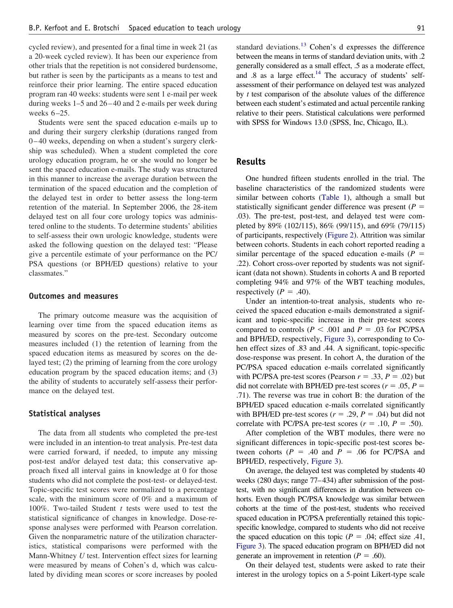cycled review), and presented for a final time in week 21 (as a 20-week cycled review). It has been our experience from other trials that the repetition is not considered burdensome, but rather is seen by the participants as a means to test and reinforce their prior learning. The entire spaced education program ran 40 weeks: students were sent 1 e-mail per week during weeks 1–5 and 26–40 and 2 e-mails per week during weeks 6–25.

Students were sent the spaced education e-mails up to and during their surgery clerkship (durations ranged from 0–40 weeks, depending on when a student's surgery clerkship was scheduled). When a student completed the core urology education program, he or she would no longer be sent the spaced education e-mails. The study was structured in this manner to increase the average duration between the termination of the spaced education and the completion of the delayed test in order to better assess the long-term retention of the material. In September 2006, the 28-item delayed test on all four core urology topics was administered online to the students. To determine students' abilities to self-assess their own urologic knowledge, students were asked the following question on the delayed test: "Please give a percentile estimate of your performance on the PC/ PSA questions (or BPH/ED questions) relative to your classmates."

#### **Outcomes and measures**

The primary outcome measure was the acquisition of learning over time from the spaced education items as measured by scores on the pre-test. Secondary outcome measures included (1) the retention of learning from the spaced education items as measured by scores on the delayed test; (2) the priming of learning from the core urology education program by the spaced education items; and (3) the ability of students to accurately self-assess their performance on the delayed test.

#### **Statistical analyses**

The data from all students who completed the pre-test were included in an intention-to treat analysis. Pre-test data were carried forward, if needed, to impute any missing post-test and/or delayed test data; this conservative approach fixed all interval gains in knowledge at 0 for those students who did not complete the post-test- or delayed-test. Topic-specific test scores were normalized to a percentage scale, with the minimum score of 0% and a maximum of 100%. Two-tailed Student *t* tests were used to test the statistical significance of changes in knowledge. Dose-response analyses were performed with Pearson correlation. Given the nonparametric nature of the utilization characteristics, statistical comparisons were performed with the Mann-Whitney *U* test. Intervention effect sizes for learning were measured by means of Cohen's d, which was calculated by dividing mean scores or score increases by pooled

standard deviations.[13](#page-5-0) Cohen's d expresses the difference between the means in terms of standard deviation units, with .2 generally considered as a small effect, .5 as a moderate effect, and  $.8$  as a large effect.<sup>14</sup> The accuracy of students' selfassessment of their performance on delayed test was analyzed by *t* test comparison of the absolute values of the difference between each student's estimated and actual percentile ranking relative to their peers. Statistical calculations were performed with SPSS for Windows 13.0 (SPSS, Inc, Chicago, IL).

### **Results**

One hundred fifteen students enrolled in the trial. The baseline characteristics of the randomized students were similar between cohorts [\(Table 1\)](#page-3-0), although a small but statistically significant gender difference was present  $(P =$ .03). The pre-test, post-test, and delayed test were completed by 89% (102/115), 86% (99/115), and 69% (79/115) of participants, respectively [\(Figure 2\)](#page-4-0). Attrition was similar between cohorts. Students in each cohort reported reading a similar percentage of the spaced education e-mails  $(P =$ .22). Cohort cross-over reported by students was not significant (data not shown). Students in cohorts A and B reported completing 94% and 97% of the WBT teaching modules, respectively  $(P = .40)$ .

Under an intention-to-treat analysis, students who received the spaced education e-mails demonstrated a significant and topic-specific increase in their pre-test scores compared to controls ( $P < .001$  and  $P = .03$  for PC/PSA and BPH/ED, respectively, [Figure 3\)](#page-4-0), corresponding to Cohen effect sizes of .83 and .44. A significant, topic-specific dose-response was present. In cohort A, the duration of the PC/PSA spaced education e-mails correlated significantly with PC/PSA pre-test scores (Pearson  $r = .33$ ,  $P = .02$ ) but did not correlate with BPH/ED pre-test scores ( $r = .05$ ,  $P =$ .71). The reverse was true in cohort B: the duration of the BPH/ED spaced education e-mails correlated significantly with BPH/ED pre-test scores  $(r = .29, P = .04)$  but did not correlate with PC/PSA pre-test scores  $(r = .10, P = .50)$ .

After completion of the WBT modules, there were no significant differences in topic-specific post-test scores between cohorts ( $P = .40$  and  $P = .06$  for PC/PSA and BPH/ED, respectively, [Figure 3\)](#page-4-0).

On average, the delayed test was completed by students 40 weeks (280 days; range 77–434) after submission of the posttest, with no significant differences in duration between cohorts. Even though PC/PSA knowledge was similar between cohorts at the time of the post-test, students who received spaced education in PC/PSA preferentially retained this topicspecific knowledge, compared to students who did not receive the spaced education on this topic  $(P = .04)$ ; effect size .41, [Figure 3\)](#page-4-0). The spaced education program on BPH/ED did not generate an improvement in retention ( $P = .60$ ).

On their delayed test, students were asked to rate their interest in the urology topics on a 5-point Likert-type scale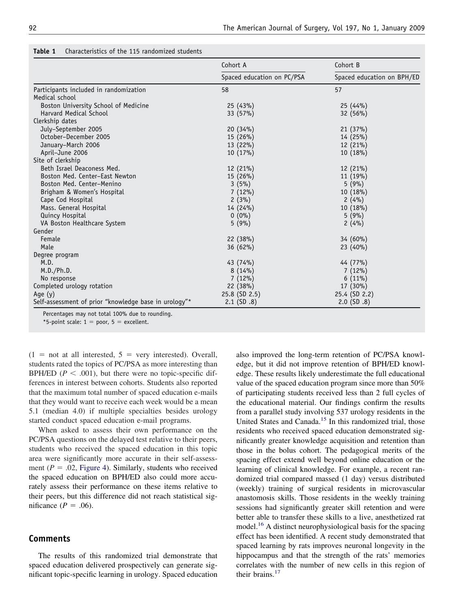|                                                       | Cohort A<br>Spaced education on PC/PSA | Cohort B<br>Spaced education on BPH/ED |
|-------------------------------------------------------|----------------------------------------|----------------------------------------|
|                                                       |                                        |                                        |
| Participants included in randomization                | 58                                     | 57                                     |
| Medical school                                        |                                        |                                        |
| Boston University School of Medicine                  | 25 (43%)                               | 25(44%)                                |
| <b>Harvard Medical School</b>                         | 33 (57%)                               | 32 (56%)                               |
| Clerkship dates                                       |                                        |                                        |
| July-September 2005                                   | 20(34%)                                | 21(37%)                                |
| October-December 2005                                 | 15 (26%)                               | 14 (25%)                               |
| January-March 2006                                    | 13 (22%)                               | 12 (21%)                               |
| April-June 2006                                       | 10(17%)                                | 10 (18%)                               |
| Site of clerkship                                     |                                        |                                        |
| Beth Israel Deaconess Med.                            | 12 (21%)                               | 12 (21%)                               |
| Boston Med. Center-East Newton                        | 15(26%)                                | 11 (19%)                               |
| Boston Med. Center-Menino                             | $3(5\%)$                               | 5(9%)                                  |
| Brigham & Women's Hospital                            | $7(12\%)$                              | 10 (18%)                               |
| Cape Cod Hospital                                     | 2(3%)                                  | 2(4%)                                  |
| Mass. General Hospital                                | 14 (24%)                               | 10 (18%)                               |
| <b>Quincy Hospital</b>                                | $0(0\%)$                               | 5(9%)                                  |
| VA Boston Healthcare System                           | 5(9%)                                  | 2(4%)                                  |
| Gender                                                |                                        |                                        |
| Female                                                | 22(38%)                                | 34 (60%)                               |
| Male                                                  | $36(62\%)$                             | $23(40\%)$                             |
| Degree program                                        |                                        |                                        |
| M.D.                                                  | 43 (74%)                               | 44 (77%)                               |
| M.D./Ph.D.                                            | $8(14\%)$                              | 7(12%)                                 |
| No response                                           | 7(12%)                                 | $6(11\%)$                              |
| Completed urology rotation                            | 22 (38%)                               | 17 (30%)                               |
| Age $(y)$                                             | 25.8 (SD 2.5)                          | 25.4 (SD 2.2)                          |
| Self-assessment of prior "knowledge base in urology"* | $2.1$ (SD $.8$ )                       | $2.0$ (SD $.8$ )                       |

## <span id="page-3-0"></span>**Table 1** Characteristics of the 115 randomized students

Percentages may not total 100% due to rounding.

\*5-point scale:  $1 =$  poor,  $5 =$  excellent.

 $(1 =$  not at all interested,  $5 =$  very interested). Overall, students rated the topics of PC/PSA as more interesting than BPH/ED  $(P < .001)$ , but there were no topic-specific differences in interest between cohorts. Students also reported that the maximum total number of spaced education e-mails that they would want to receive each week would be a mean 5.1 (median 4.0) if multiple specialties besides urology started conduct spaced education e-mail programs.

When asked to assess their own performance on the PC/PSA questions on the delayed test relative to their peers, students who received the spaced education in this topic area were significantly more accurate in their self-assessment  $(P = .02,$  [Figure 4\)](#page-5-0). Similarly, students who received the spaced education on BPH/ED also could more accurately assess their performance on these items relative to their peers, but this difference did not reach statistical significance ( $P = .06$ ).

## **Comments**

The results of this randomized trial demonstrate that spaced education delivered prospectively can generate significant topic-specific learning in urology. Spaced education

also improved the long-term retention of PC/PSA knowledge, but it did not improve retention of BPH/ED knowledge. These results likely underestimate the full educational value of the spaced education program since more than 50% of participating students received less than 2 full cycles of the educational material. Our findings confirm the results from a parallel study involving 537 urology residents in the United States and Canada.<sup>15</sup> In this randomized trial, those residents who received spaced education demonstrated significantly greater knowledge acquisition and retention than those in the bolus cohort. The pedagogical merits of the spacing effect extend well beyond online education or the learning of clinical knowledge. For example, a recent randomized trial compared massed (1 day) versus distributed (weekly) training of surgical residents in microvascular anastomosis skills. Those residents in the weekly training sessions had significantly greater skill retention and were better able to transfer these skills to a live, anesthetized rat model[.16](#page-6-0) A distinct neurophysiological basis for the spacing effect has been identified. A recent study demonstrated that spaced learning by rats improves neuronal longevity in the hippocampus and that the strength of the rats' memories correlates with the number of new cells in this region of their brains.<sup>[17](#page-6-0)</sup>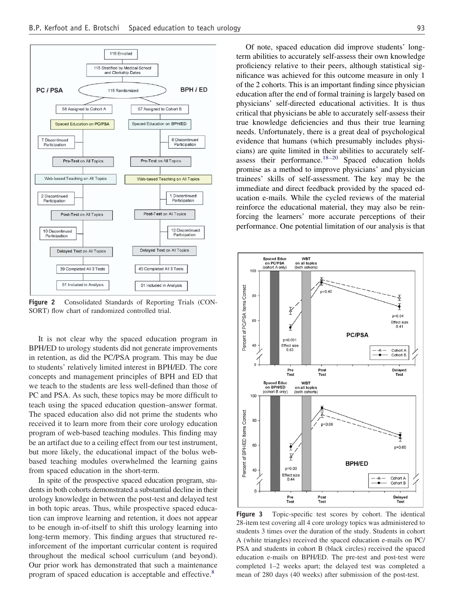<span id="page-4-0"></span>

**Figure 2** Consolidated Standards of Reporting Trials (CON-SORT) flow chart of randomized controlled trial.

It is not clear why the spaced education program in BPH/ED to urology students did not generate improvements in retention, as did the PC/PSA program. This may be due to students' relatively limited interest in BPH/ED. The core concepts and management principles of BPH and ED that we teach to the students are less well-defined than those of PC and PSA. As such, these topics may be more difficult to teach using the spaced education question–answer format. The spaced education also did not prime the students who received it to learn more from their core urology education program of web-based teaching modules. This finding may be an artifact due to a ceiling effect from our test instrument, but more likely, the educational impact of the bolus webbased teaching modules overwhelmed the learning gains from spaced education in the short-term.

In spite of the prospective spaced education program, students in both cohorts demonstrated a substantial decline in their urology knowledge in between the post-test and delayed test in both topic areas. Thus, while prospective spaced education can improve learning and retention, it does not appear to be enough in-of-itself to shift this urology learning into long-term memory. This finding argues that structured reinforcement of the important curricular content is required throughout the medical school curriculum (and beyond). Our prior work has demonstrated that such a maintenance program of spaced education is acceptable and effective.<sup>[8](#page-5-0)</sup>

Of note, spaced education did improve students' longterm abilities to accurately self-assess their own knowledge proficiency relative to their peers, although statistical significance was achieved for this outcome measure in only 1 of the 2 cohorts. This is an important finding since physician education after the end of formal training is largely based on physicians' self-directed educational activities. It is thus critical that physicians be able to accurately self-assess their true knowledge deficiencies and thus their true learning needs. Unfortunately, there is a great deal of psychological evidence that humans (which presumably includes physicians) are quite limited in their abilities to accurately selfassess their performance.<sup>18–20</sup> Spaced education holds promise as a method to improve physicians' and physician trainees' skills of self-assessment. The key may be the immediate and direct feedback provided by the spaced education e-mails. While the cycled reviews of the material reinforce the educational material, they may also be reinforcing the learners' more accurate perceptions of their performance. One potential limitation of our analysis is that



**Figure 3** Topic-specific test scores by cohort. The identical 28-item test covering all 4 core urology topics was administered to students 3 times over the duration of the study. Students in cohort A (white triangles) received the spaced education e-mails on PC/ PSA and students in cohort B (black circles) received the spaced education e-mails on BPH/ED. The pre-test and post-test were completed 1–2 weeks apart; the delayed test was completed a mean of 280 days (40 weeks) after submission of the post-test.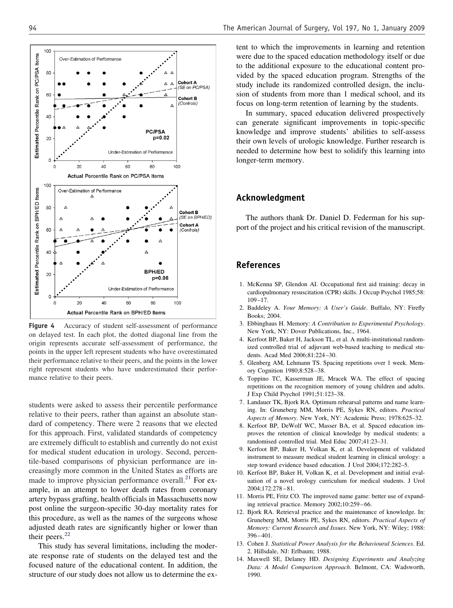<span id="page-5-0"></span>

**Figure 4** Accuracy of student self-assessment of performance on delayed test. In each plot, the dotted diagonal line from the origin represents accurate self-assessment of performance, the points in the upper left represent students who have overestimated their performance relative to their peers, and the points in the lower right represent students who have underestimated their performance relative to their peers.

students were asked to assess their percentile performance relative to their peers, rather than against an absolute standard of competency. There were 2 reasons that we elected for this approach. First, validated standards of competency are extremely difficult to establish and currently do not exist for medical student education in urology. Second, percentile-based comparisons of physician performance are increasingly more common in the United States as efforts are made to improve physician performance overall.<sup>[21](#page-6-0)</sup> For example, in an attempt to lower death rates from coronary artery bypass grafting, health officials in Massachusetts now post online the surgeon-specific 30-day mortality rates for this procedure, as well as the names of the surgeons whose adjusted death rates are significantly higher or lower than their peers.<sup>[22](#page-6-0)</sup>

This study has several limitations, including the moderate response rate of students on the delayed test and the focused nature of the educational content. In addition, the structure of our study does not allow us to determine the extent to which the improvements in learning and retention were due to the spaced education methodology itself or due to the additional exposure to the educational content provided by the spaced education program. Strengths of the study include its randomized controlled design, the inclusion of students from more than 1 medical school, and its focus on long-term retention of learning by the students.

In summary, spaced education delivered prospectively can generate significant improvements in topic-specific knowledge and improve students' abilities to self-assess their own levels of urologic knowledge. Further research is needed to determine how best to solidify this learning into longer-term memory.

## **Acknowledgment**

The authors thank Dr. Daniel D. Federman for his support of the project and his critical revision of the manuscript.

# **References**

- 1. McKenna SP, Glendon AI. Occupational first aid training: decay in cardiopulmonary resuscitation (CPR) skills. J Occup Psychol 1985;58: 109–17.
- 2. Baddeley A. *Your Memory: A User's Guide*. Buffalo, NY: Firefly Books; 2004.
- 3. Ebbinghaus H. Memory: *A Contribution to Experimental Psychology*. New York, NY: Dover Publications, Inc., 1964.
- 4. Kerfoot BP, Baker H, Jackson TL, et al. A multi-institutional randomized controlled trial of adjuvant web-based teaching to medical students. Acad Med 2006;81:224–30.
- 5. Glenberg AM, Lehmann TS. Spacing repetitions over 1 week. Memory Cognition 1980;8:528–38.
- 6. Toppino TC, Kasserman JE, Mracek WA. The effect of spacing repetitions on the recognition memory of young children and adults. J Exp Child Psychol 1991;51:123–38.
- 7. Landauer TK, Bjork RA. Optimum rehearsal patterns and name learning. In: Gruneberg MM, Morris PE, Sykes RN, editors. *Practical Aspects of Memory*. New York, NY: Academic Press; 1978:625–32.
- 8. Kerfoot BP, DeWolf WC, Masser BA, et al. Spaced education improves the retention of clinical knowledge by medical students: a randomised controlled trial. Med Educ 2007;41:23–31.
- 9. Kerfoot BP, Baker H, Volkan K, et al. Development of validated instrument to measure medical student learning in clinical urology: a step toward evidence based education. J Urol 2004;172:282–5.
- 10. Kerfoot BP, Baker H, Volkan K, et al. Development and initial evaluation of a novel urology curriculum for medical students. J Urol 2004;172:278–81.
- 11. Morris PE, Fritz CO. The improved name game: better use of expanding retrieval practice. Memory 2002;10:259–66.
- 12. Bjork RA. Retrieval practice and the maintenance of knowledge. In: Gruneberg MM, Morris PE, Sykes RN, editors. *Practical Aspects of Memory: Current Research and Issues*. New York, NY: Wiley; 1988: 396–401.
- 13. Cohen J. *Statistical Power Analysis for the Behavioural Sciences*. Ed. 2. Hillsdale, NJ: Erlbaum; 1988.
- 14. Maxwell SE, Delaney HD. *Designing Experiments and Analyzing Data: A Model Comparison Approach*. Belmont, CA: Wadsworth, 1990.